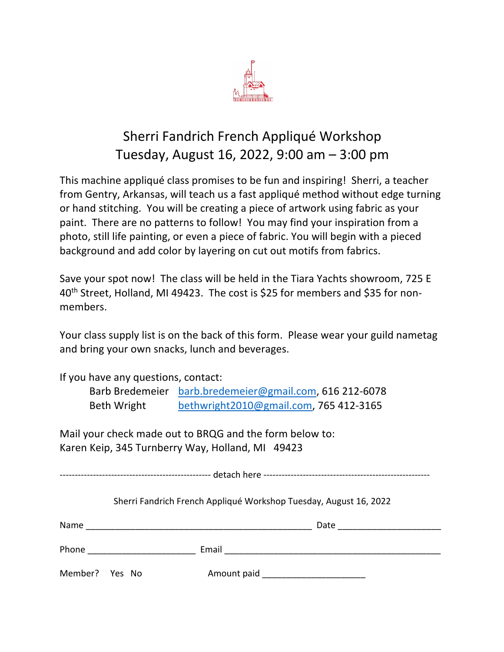

## Sherri Fandrich French Appliqué Workshop Tuesday, August 16, 2022, 9:00 am – 3:00 pm

This machine appliqué class promises to be fun and inspiring! Sherri, a teacher from Gentry, Arkansas, will teach us a fast appliqué method without edge turning or hand stitching. You will be creating a piece of artwork using fabric as your paint. There are no patterns to follow! You may find your inspiration from a photo, still life painting, or even a piece of fabric. You will begin with a pieced background and add color by layering on cut out motifs from fabrics.

Save your spot now! The class will be held in the Tiara Yachts showroom, 725 E 40th Street, Holland, MI 49423. The cost is \$25 for members and \$35 for nonmembers.

Your class supply list is on the back of this form. Please wear your guild nametag and bring your own snacks, lunch and beverages.

If you have any questions, contact:

|             | Barb Bredemeier barb.bredemeier@gmail.com, 616 212-6078 |
|-------------|---------------------------------------------------------|
| Beth Wright | bethwright2010@gmail.com, 765 412-3165                  |

Mail your check made out to BRQG and the form below to: Karen Keip, 345 Turnberry Way, Holland, MI 49423

-------------------------------------------------- detach here -------------------------------------------------------

Sherri Fandrich French Appliqué Workshop Tuesday, August 16, 2022

| Name           |  |  | Date        |  |
|----------------|--|--|-------------|--|
| Phone          |  |  | Email       |  |
| Member? Yes No |  |  | Amount paid |  |